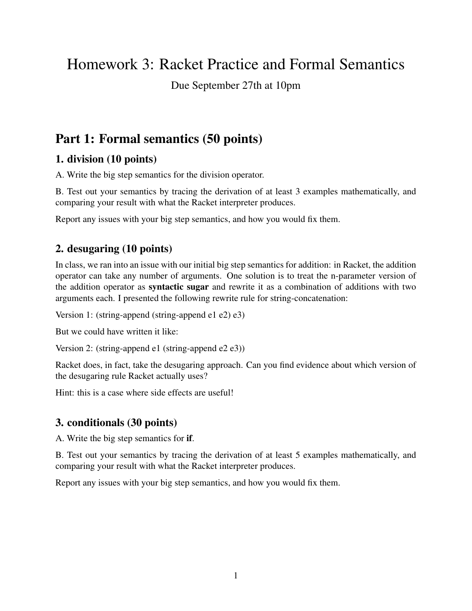# Homework 3: Racket Practice and Formal Semantics

Due September 27th at 10pm

## Part 1: Formal semantics (50 points)

### 1. division (10 points)

A. Write the big step semantics for the division operator.

B. Test out your semantics by tracing the derivation of at least 3 examples mathematically, and comparing your result with what the Racket interpreter produces.

Report any issues with your big step semantics, and how you would fix them.

#### 2. desugaring (10 points)

In class, we ran into an issue with our initial big step semantics for addition: in Racket, the addition operator can take any number of arguments. One solution is to treat the n-parameter version of the addition operator as syntactic sugar and rewrite it as a combination of additions with two arguments each. I presented the following rewrite rule for string-concatenation:

Version 1: (string-append (string-append e1 e2) e3)

But we could have written it like:

Version 2: (string-append e1 (string-append e2 e3))

Racket does, in fact, take the desugaring approach. Can you find evidence about which version of the desugaring rule Racket actually uses?

Hint: this is a case where side effects are useful!

### 3. conditionals (30 points)

A. Write the big step semantics for if.

B. Test out your semantics by tracing the derivation of at least 5 examples mathematically, and comparing your result with what the Racket interpreter produces.

Report any issues with your big step semantics, and how you would fix them.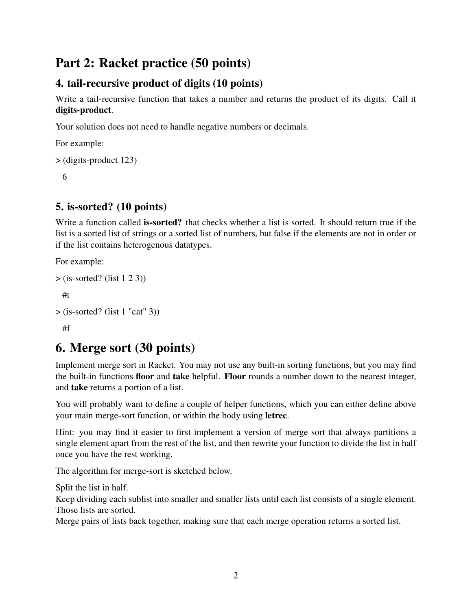## Part 2: Racket practice (50 points)

## 4. tail-recursive product of digits (10 points)

Write a tail-recursive function that takes a number and returns the product of its digits. Call it digits-product.

Your solution does not need to handle negative numbers or decimals.

For example:

```
> (digits-product 123)
```
6

### 5. is-sorted? (10 points)

Write a function called **is-sorted?** that checks whether a list is sorted. It should return true if the list is a sorted list of strings or a sorted list of numbers, but false if the elements are not in order or if the list contains heterogenous datatypes.

For example:

```
> (is-sorted? (list 1 2 3))
```
#t

```
> (is-sorted? (list 1 "cat" 3))
```
#f

## 6. Merge sort (30 points)

Implement merge sort in Racket. You may not use any built-in sorting functions, but you may find the built-in functions floor and take helpful. Floor rounds a number down to the nearest integer, and take returns a portion of a list.

You will probably want to define a couple of helper functions, which you can either define above your main merge-sort function, or within the body using letrec.

Hint: you may find it easier to first implement a version of merge sort that always partitions a single element apart from the rest of the list, and then rewrite your function to divide the list in half once you have the rest working.

The algorithm for merge-sort is sketched below.

Split the list in half.

Keep dividing each sublist into smaller and smaller lists until each list consists of a single element. Those lists are sorted.

Merge pairs of lists back together, making sure that each merge operation returns a sorted list.